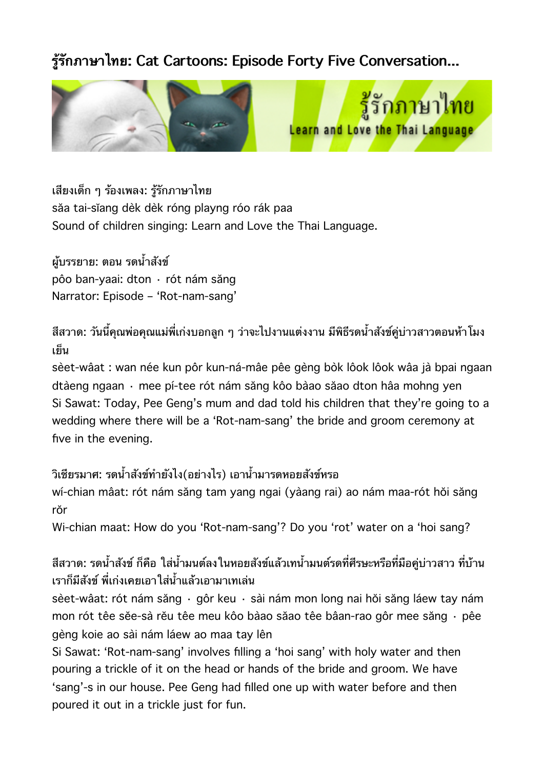## **รรกภาษาไทย: Cat Cartoons: Episode Forty Five Conversation...**





เสยงเดก ๆ รองเพลง: รรกภาษาไทย săa tai-sĭang dèk dèk róng playng róo rák paa Sound of children singing: Learn and Love the Thai Language.

ผ้บรรยาย: ตอน รดน้ำสังข์ pôo ban-yaai: dton · rót nám săng Narrator: Episode – 'Rot-nam-sang'

สีสวาด: วันนี้คุณพ่อคุณแม่พี่เก่งบอกลูก ๆ ว่าจะไปงานแต่งงาน มีพิธีรดน้ำสังข์คู่บ่าวสาวตอนห้าโมง เยน

sèet-wâat : wan née kun pôr kun-ná-mâe pêe gèng bòk lôok lôok wâa jà bpai ngaan dtàeng ngaan · mee pí-tee rót nám săng kôo bàao săao dton hâa mohng yen Si Sawat: Today, Pee Geng's mum and dad told his children that they're going to a wedding where there will be a 'Rot-nam-sang' the bride and groom ceremony at five in the evening.

## ้วิเชียรมาศ: รดน้ำสังข์ทำยังไง(อย่างไร) เอาน้ำมารดหอยสังข์หรอ

wí-chian mâat: rót nám săng tam yang ngai (yàang rai) ao nám maa-rót hŏi săng rŏr

Wi-chian maat: How do you 'Rot-nam-sang'? Do you 'rot' water on a 'hoi sang?

สีสวาด: รดน้ำสังข์ ก็คือ ใส่น้ำมนต์ลงในหอยสังข์แล้วเทน้ำมนต์รดที่ศีรษะหรือที่มือคู่บ่าวสาว ที่บ้าน เราก็มีสังข์ พี่เก่งเคยเอาใส่น้ำแล้วเอามาเทเล่น

sèet-wâat: rót nám săng · gôr keu · sài nám mon long nai hŏi săng láew tay nám mon rót têe sĕe-sà rĕu têe meu kôo bàao săao têe bâan-rao gôr mee săng · pêe gèng koie ao sài nám láew ao maa tay lên

Si Sawat: 'Rot-nam-sang' involves filling a 'hoi sang' with holy water and then pouring a trickle of it on the head or hands of the bride and groom. We have 'sang'-s in our house. Pee Geng had filled one up with water before and then poured it out in a trickle just for fun.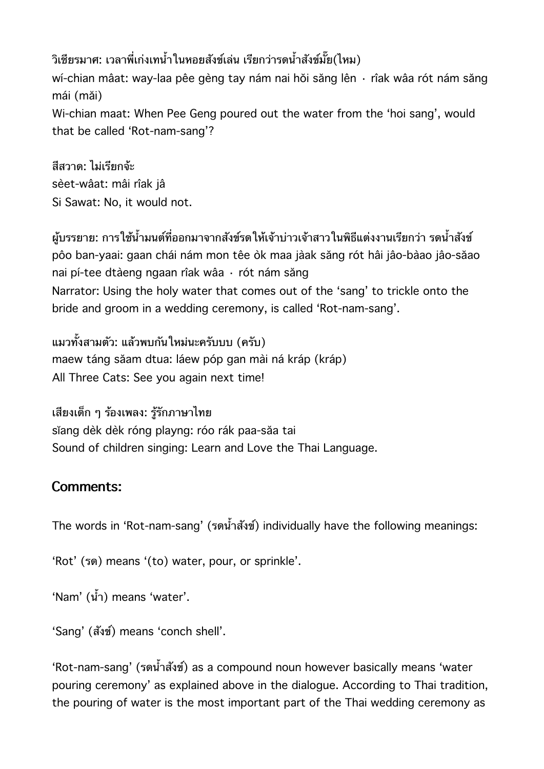้วิเชียรมาศ: เวลาพี่เก่งเทน้ำในหอยสังข์เล่น เรียกว่ารดน้ำสังข์มั๊ย(ไหม) wí-chian mâat: way-laa pêe gèng tay nám nai hǒi săng lên · rîak wâa rót nám săng mái (măi) Wi-chian maat: When Pee Geng poured out the water from the 'hoi sang', would that be called 'Rot-nam-sang'?

สีสวาด<sup>.</sup> ไม่เรียกจ้ะ sèet-wâat: mâi rîak jâ Si Sawat: No, it would not.

ผับรรยาย: การใช้น้ำมนต์ที่ออกมาจากสังข์รดให้เจ้าบ่าวเจ้าสาวในพิธีแต่งงานเรียกว่า รดน้ำสังข์ pôo ban-yaai: gaan chái nám mon têe òk maa jàak săng rót hâi jâo-bàao jâo-săao nai pí-tee dtàeng ngaan rîak wâa · rót nám săng Narrator: Using the holy water that comes out of the 'sang' to trickle onto the bride and groom in a wedding ceremony, is called 'Rot-nam-sang'.

แมวทั้งสามตัว: แล้วพบกันใหม่นะครับบบ (ครับ) maew táng săam dtua: láew póp gan mài ná kráp (kráp) All Three Cats: See you again next time!

เสยงเดก ๆ รองเพลง: รรกภาษาไทย sĭang dèk dèk róng playng: róo rák paa-săa tai Sound of children singing: Learn and Love the Thai Language.

## **Comments:**

The words in 'Rot-nam-sang' (รดน้ำสั่งข์) individually have the following meanings:

'Rot' (รด) means '(to) water, pour, or sprinkle'.

'Nam' (น้ำ) means 'water'.

'Sang' (สงข) means 'conch shell'.

'Rot-nam-sang' (รดน้ำสังข์) as a compound noun however basically means 'water pouring ceremony' as explained above in the dialogue. According to Thai tradition, the pouring of water is the most important part of the Thai wedding ceremony as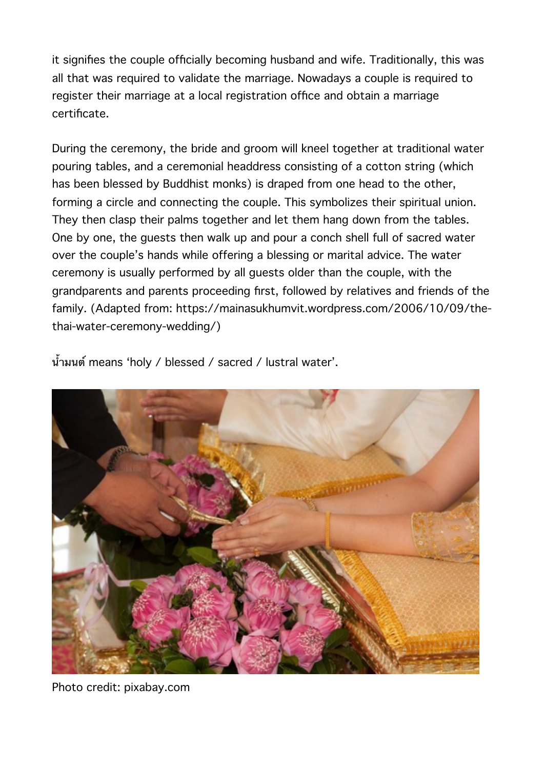it signifies the couple officially becoming husband and wife. Traditionally, this was all that was required to validate the marriage. Nowadays a couple is required to register their marriage at a local registration office and obtain a marriage certificate.

During the ceremony, the bride and groom will kneel together at traditional water pouring tables, and a ceremonial headdress consisting of a cotton string (which has been blessed by Buddhist monks) is draped from one head to the other, forming a circle and connecting the couple. This symbolizes their spiritual union. They then clasp their palms together and let them hang down from the tables. One by one, the guests then walk up and pour a conch shell full of sacred water over the couple's hands while offering a blessing or marital advice. The water ceremony is usually performed by all guests older than the couple, with the grandparents and parents proceeding first, followed by relatives and friends of the family. (Adapted from: https://mainasukhumvit.wordpress.com/2006/10/09/thethai-water-ceremony-wedding/)

น้ำมนต์ means 'holy / blessed / sacred / lustral water'.



Photo credit: pixabay.com